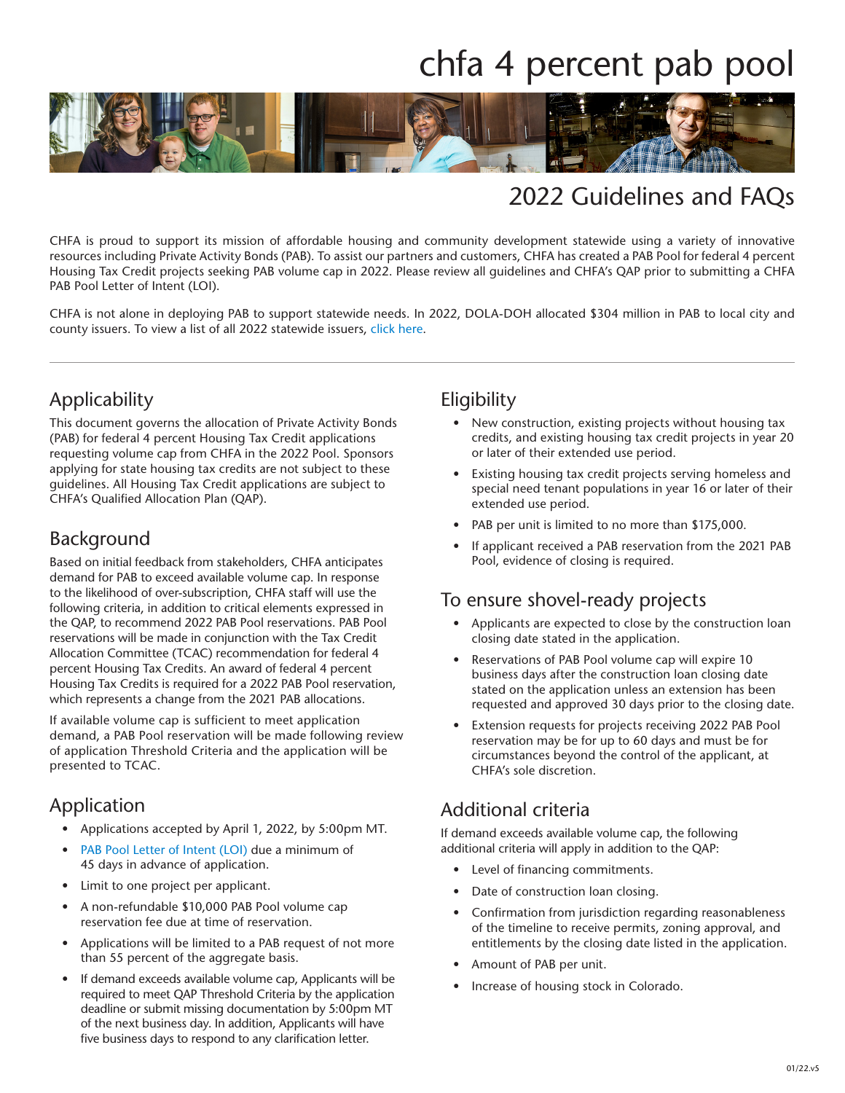# chfa 4 percent pab pool



### 2022 Guidelines and FAQs

CHFA is proud to support its mission of affordable housing and community development statewide using a variety of innovative resources including Private Activity Bonds (PAB). To assist our partners and customers, CHFA has created a PAB Pool for federal 4 percent Housing Tax Credit projects seeking PAB volume cap in 2022. Please review all guidelines and CHFA's QAP prior to submitting a CHFA PAB Pool Letter of Intent (LOI).

CHFA is not alone in deploying PAB to support statewide needs. In 2022, DOLA-DOH allocated \$304 million in PAB to local city and county issuers. To view a list of all 2022 statewide issuers, [click here](https://files.constantcontact.com/b876c618001/c6024ba7-f4f5-45bb-bd11-dddf5e57ae7e.pdf).

### Applicability

This document governs the allocation of Private Activity Bonds (PAB) for federal 4 percent Housing Tax Credit applications requesting volume cap from CHFA in the 2022 Pool. Sponsors applying for state housing tax credits are not subject to these guidelines. All Housing Tax Credit applications are subject to CHFA's Qualified Allocation Plan (QAP).

#### Background

Based on initial feedback from stakeholders, CHFA anticipates demand for PAB to exceed available volume cap. In response to the likelihood of over-subscription, CHFA staff will use the following criteria, in addition to critical elements expressed in the QAP, to recommend 2022 PAB Pool reservations. PAB Pool reservations will be made in conjunction with the Tax Credit Allocation Committee (TCAC) recommendation for federal 4 percent Housing Tax Credits. An award of federal 4 percent Housing Tax Credits is required for a 2022 PAB Pool reservation, which represents a change from the 2021 PAB allocations.

If available volume cap is sufficient to meet application demand, a PAB Pool reservation will be made following review of application Threshold Criteria and the application will be presented to TCAC.

#### Application

- Applications accepted by April 1, 2022, by 5:00pm MT.
- [PAB Pool Letter of Intent \(LOI\)](https://www.chfainfo.com/arh/lihtc/pabs/2022-PAB4PercentLOI.pdf) due a minimum of 45 days in advance of application.
- Limit to one project per applicant.
- A non-refundable \$10,000 PAB Pool volume cap reservation fee due at time of reservation.
- Applications will be limited to a PAB request of not more than 55 percent of the aggregate basis.
- If demand exceeds available volume cap, Applicants will be required to meet QAP Threshold Criteria by the application deadline or submit missing documentation by 5:00pm MT of the next business day. In addition, Applicants will have five business days to respond to any clarification letter.

#### **Eligibility**

- New construction, existing projects without housing tax credits, and existing housing tax credit projects in year 20 or later of their extended use period.
- Existing housing tax credit projects serving homeless and special need tenant populations in year 16 or later of their extended use period.
- PAB per unit is limited to no more than \$175,000.
- If applicant received a PAB reservation from the 2021 PAB Pool, evidence of closing is required.

#### To ensure shovel-ready projects

- Applicants are expected to close by the construction loan closing date stated in the application.
- Reservations of PAB Pool volume cap will expire 10 business days after the construction loan closing date stated on the application unless an extension has been requested and approved 30 days prior to the closing date.
- Extension requests for projects receiving 2022 PAB Pool reservation may be for up to 60 days and must be for circumstances beyond the control of the applicant, at CHFA's sole discretion.

#### Additional criteria

If demand exceeds available volume cap, the following additional criteria will apply in addition to the QAP:

- Level of financing commitments.
- Date of construction loan closing.
- Confirmation from jurisdiction regarding reasonableness of the timeline to receive permits, zoning approval, and entitlements by the closing date listed in the application.
- Amount of PAB per unit.
- Increase of housing stock in Colorado.